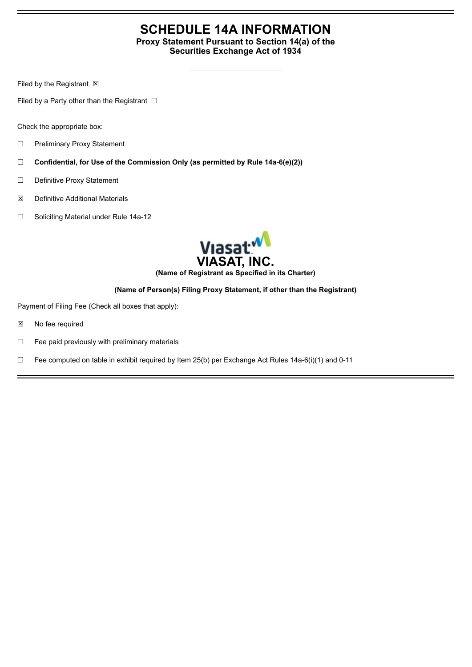# **SCHEDULE 14A INFORMATION Proxy Statement Pursuant to Section 14(a) of the**

**Securities Exchange Act of 1934**

Filed by the Registrant  $\boxtimes$ 

Filed by a Party other than the Registrant  $□$ 

Check the appropriate box:

- ☐ Preliminary Proxy Statement
- ☐ **Confidential, for Use of the Commission Only (as permitted by Rule 14a-6(e)(2))**
- ☐ Definitive Proxy Statement
- ☒ Definitive Additional Materials
- ☐ Soliciting Material under Rule 14a-12



**(Name of Registrant as Specified in its Charter)**

# **(Name of Person(s) Filing Proxy Statement, if other than the Registrant)**

Payment of Filing Fee (Check all boxes that apply):

- ☒ No fee required
- $\Box$  Fee paid previously with preliminary materials
- □ Fee computed on table in exhibit required by Item 25(b) per Exchange Act Rules  $14a-6(i)(1)$  and 0-11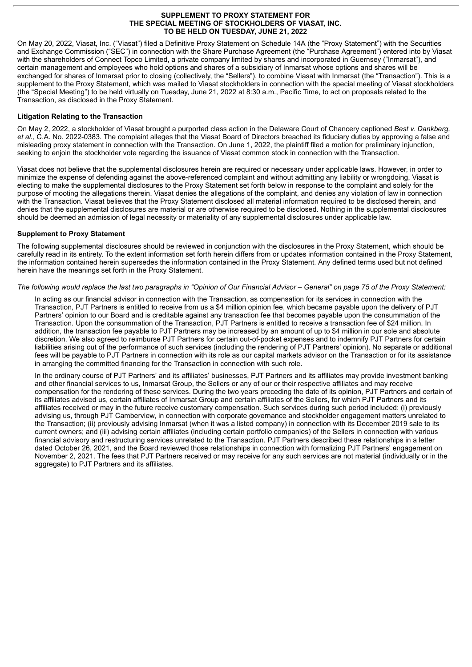#### **SUPPLEMENT TO PROXY STATEMENT FOR THE SPECIAL MEETING OF STOCKHOLDERS OF VIASAT, INC. TO BE HELD ON TUESDAY, JUNE 21, 2022**

On May 20, 2022, Viasat, Inc. ("Viasat") filed a Definitive Proxy Statement on Schedule 14A (the "Proxy Statement") with the Securities and Exchange Commission ("SEC") in connection with the Share Purchase Agreement (the "Purchase Agreement") entered into by Viasat with the shareholders of Connect Topco Limited, a private company limited by shares and incorporated in Guernsey ("Inmarsat"), and certain management and employees who hold options and shares of a subsidiary of Inmarsat whose options and shares will be exchanged for shares of Inmarsat prior to closing (collectively, the "Sellers"), to combine Viasat with Inmarsat (the "Transaction"). This is a supplement to the Proxy Statement, which was mailed to Viasat stockholders in connection with the special meeting of Viasat stockholders (the "Special Meeting") to be held virtually on Tuesday, June 21, 2022 at 8:30 a.m., Pacific Time, to act on proposals related to the Transaction, as disclosed in the Proxy Statement.

# **Litigation Relating to the Transaction**

On May 2, 2022, a stockholder of Viasat brought a purported class action in the Delaware Court of Chancery captioned *Best v. Dankberg, et al.*, C.A. No. 2022-0383. The complaint alleges that the Viasat Board of Directors breached its fiduciary duties by approving a false and misleading proxy statement in connection with the Transaction. On June 1, 2022, the plaintiff filed a motion for preliminary injunction, seeking to enjoin the stockholder vote regarding the issuance of Viasat common stock in connection with the Transaction.

Viasat does not believe that the supplemental disclosures herein are required or necessary under applicable laws. However, in order to minimize the expense of defending against the above-referenced complaint and without admitting any liability or wrongdoing, Viasat is electing to make the supplemental disclosures to the Proxy Statement set forth below in response to the complaint and solely for the purpose of mooting the allegations therein. Viasat denies the allegations of the complaint, and denies any violation of law in connection with the Transaction. Viasat believes that the Proxy Statement disclosed all material information required to be disclosed therein, and denies that the supplemental disclosures are material or are otherwise required to be disclosed. Nothing in the supplemental disclosures should be deemed an admission of legal necessity or materiality of any supplemental disclosures under applicable law.

# **Supplement to Proxy Statement**

The following supplemental disclosures should be reviewed in conjunction with the disclosures in the Proxy Statement, which should be carefully read in its entirety. To the extent information set forth herein differs from or updates information contained in the Proxy Statement, the information contained herein supersedes the information contained in the Proxy Statement. Any defined terms used but not defined herein have the meanings set forth in the Proxy Statement.

### The following would replace the last two paragraphs in "Opinion of Our Financial Advisor - General" on page 75 of the Proxy Statement:

In acting as our financial advisor in connection with the Transaction, as compensation for its services in connection with the Transaction, PJT Partners is entitled to receive from us a \$4 million opinion fee, which became payable upon the delivery of PJT Partners' opinion to our Board and is creditable against any transaction fee that becomes payable upon the consummation of the Transaction. Upon the consummation of the Transaction, PJT Partners is entitled to receive a transaction fee of \$24 million. In addition, the transaction fee payable to PJT Partners may be increased by an amount of up to \$4 million in our sole and absolute discretion. We also agreed to reimburse PJT Partners for certain out-of-pocket expenses and to indemnify PJT Partners for certain liabilities arising out of the performance of such services (including the rendering of PJT Partners' opinion). No separate or additional fees will be payable to PJT Partners in connection with its role as our capital markets advisor on the Transaction or for its assistance in arranging the committed financing for the Transaction in connection with such role.

In the ordinary course of PJT Partners' and its affiliates' businesses, PJT Partners and its affiliates may provide investment banking and other financial services to us, Inmarsat Group, the Sellers or any of our or their respective affiliates and may receive compensation for the rendering of these services. During the two years preceding the date of its opinion, PJT Partners and certain of its affiliates advised us, certain affiliates of Inmarsat Group and certain affiliates of the Sellers, for which PJT Partners and its affiliates received or may in the future receive customary compensation. Such services during such period included: (i) previously advising us, through PJT Camberview, in connection with corporate governance and stockholder engagement matters unrelated to the Transaction; (ii) previously advising Inmarsat (when it was a listed company) in connection with its December 2019 sale to its current owners; and (iii) advising certain affiliates (including certain portfolio companies) of the Sellers in connection with various financial advisory and restructuring services unrelated to the Transaction. PJT Partners described these relationships in a letter dated October 26, 2021, and the Board reviewed those relationships in connection with formalizing PJT Partners' engagement on November 2, 2021. The fees that PJT Partners received or may receive for any such services are not material (individually or in the aggregate) to PJT Partners and its affiliates.